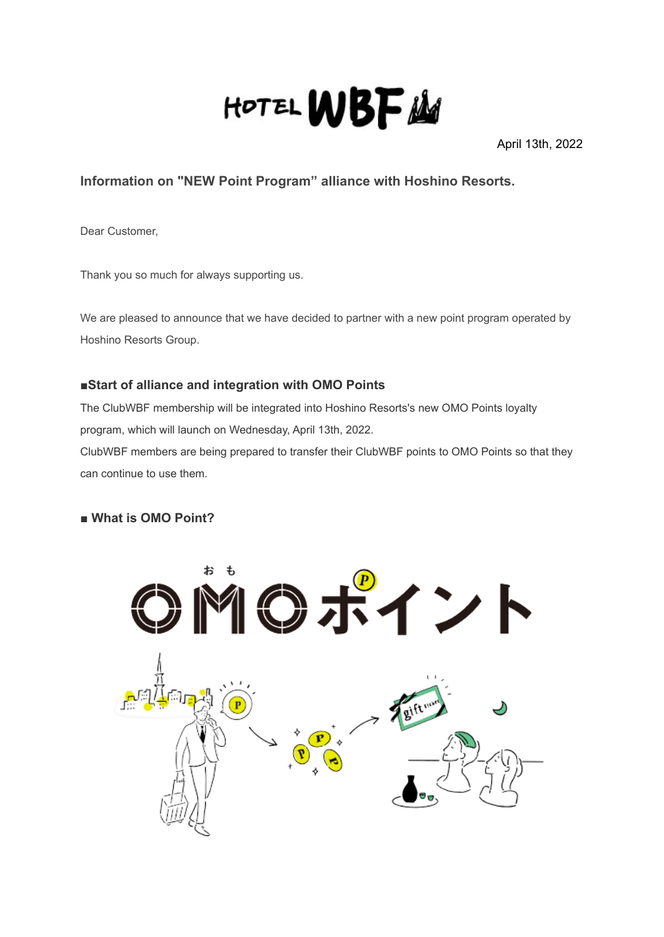

April 13th, 2022

# **Information on "NEW Point Program" alliance with Hoshino Resorts.**

Dear Customer,

Thank you so much for always supporting us.

We are pleased to announce that we have decided to partner with a new point program operated by Hoshino Resorts Group.

### **■Start of alliance and integration with OMO Points**

The ClubWBF membership will be integrated into Hoshino Resorts's new OMO Points loyalty program, which will launch on Wednesday, April 13th, 2022.

ClubWBF members are being prepared to transfer their ClubWBF points to OMO Points so that they can continue to use them.

## **■ What is OMO Point?**

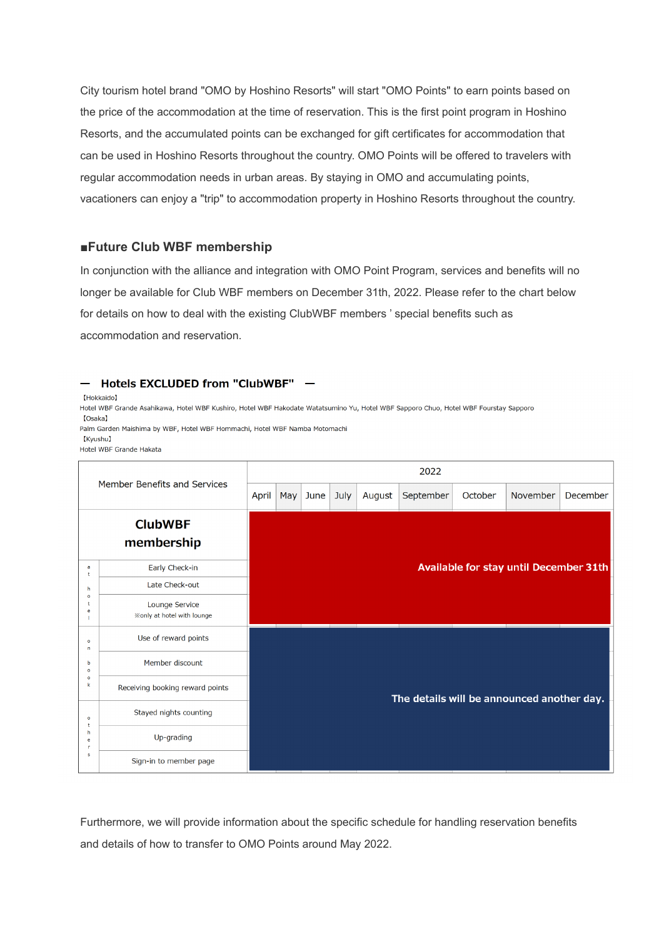City tourism hotel brand "OMO by Hoshino Resorts" will start "OMO Points" to earn points based on the price of the accommodation at the time of reservation. This is the first point program in Hoshino Resorts, and the accumulated points can be exchanged for gift certificates for accommodation that can be used in Hoshino Resorts throughout the country. OMO Points will be offered to travelers with regular accommodation needs in urban areas. By staying in OMO and accumulating points, vacationers can enjoy a "trip" to accommodation property in Hoshino Resorts throughout the country.

#### **■Future Club WBF membership**

In conjunction with the alliance and integration with OMO Point Program, services and benefits will no longer be available for Club WBF members on December 31th, 2022. Please refer to the chart below for details on how to deal with the existing ClubWBF members ' special benefits such as accommodation and reservation.

#### - Hotels EXCLUDED from "ClubWBF" -

[Hokkaido]

Hotel WBF Grande Asahikawa, Hotel WBF Kushiro, Hotel WBF Hakodate Watatsumino Yu, Hotel WBF Sapporo Chuo, Hotel WBF Fourstay Sapporo [Osaka]

Palm Garden Maishima by WBF, Hotel WBF Hommachi, Hotel WBF Namba Motomachi **IKvushul** 

Hotel WBE Grande Hakata

| Member Benefits and Services                            |                                                     | 2022  |                                            |          |      |        |           |         |          |          |  |
|---------------------------------------------------------|-----------------------------------------------------|-------|--------------------------------------------|----------|------|--------|-----------|---------|----------|----------|--|
|                                                         |                                                     | April | May                                        | $ $ June | July | August | September | October | November | December |  |
| <b>ClubWBF</b><br>membership                            |                                                     |       |                                            |          |      |        |           |         |          |          |  |
| a<br>$\ddot{}$<br>h<br>$\Omega$<br>e                    | Early Check-in                                      |       | Available for stay until December 31th     |          |      |        |           |         |          |          |  |
|                                                         | Late Check-out                                      |       |                                            |          |      |        |           |         |          |          |  |
|                                                         | Lounge Service<br><b>※only at hotel with lounge</b> |       |                                            |          |      |        |           |         |          |          |  |
| $\circ$<br>n<br>h<br>$\Omega$<br>$\circ$<br>$\mathbf k$ | Use of reward points                                |       |                                            |          |      |        |           |         |          |          |  |
|                                                         | Member discount                                     |       |                                            |          |      |        |           |         |          |          |  |
|                                                         | Receiving booking reward points                     |       | The details will be announced another day. |          |      |        |           |         |          |          |  |
| $\circ$<br>h<br>e<br>s                                  | Stayed nights counting                              |       |                                            |          |      |        |           |         |          |          |  |
|                                                         | Up-grading                                          |       |                                            |          |      |        |           |         |          |          |  |
|                                                         | Sign-in to member page                              |       |                                            |          |      |        |           |         |          |          |  |

Furthermore, we will provide information about the specific schedule for handling reservation benefits and details of how to transfer to OMO Points around May 2022.